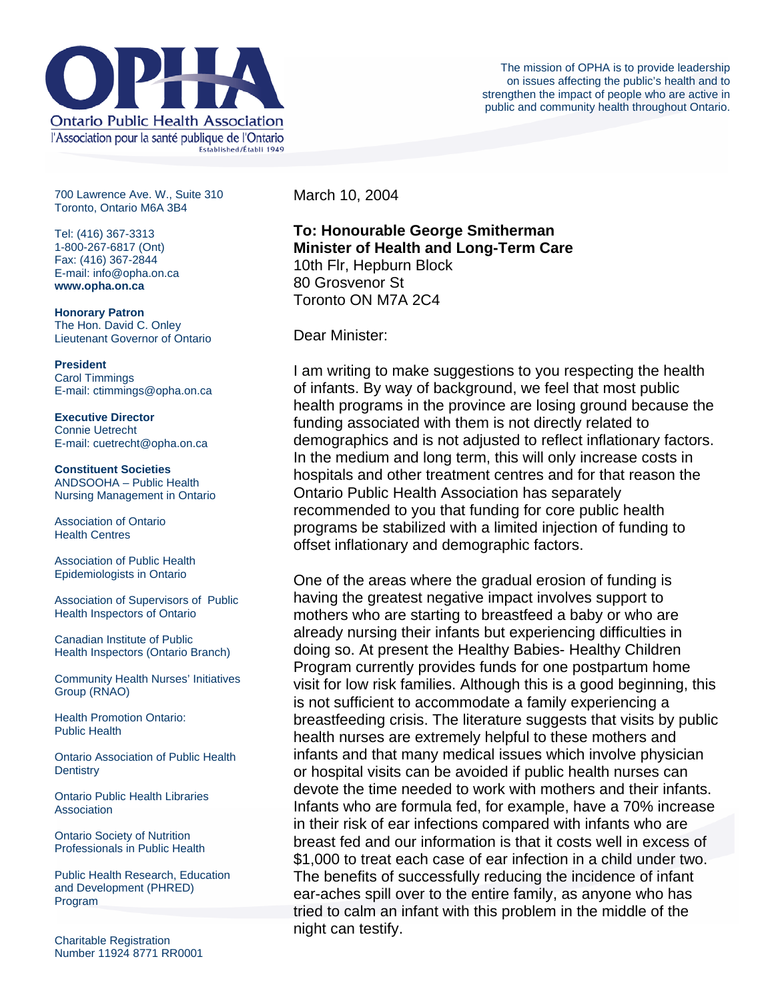

700 Lawrence Ave. W., Suite 310 Toronto, Ontario M6A 3B4

Tel: (416) 367-3313 1-800-267-6817 (Ont) Fax: (416) 367-2844 E-mail: info@opha.on.ca **www.opha.on.ca** 

**Honorary Patron**  The Hon. David C. Onley Lieutenant Governor of Ontario

**President**  Carol Timmings E-mail: ctimmings@opha.on.ca

**Executive Director**  Connie Uetrecht E-mail: cuetrecht@opha.on.ca

**Constituent Societies**  ANDSOOHA – Public Health Nursing Management in Ontario

Association of Ontario Health Centres

Association of Public Health Epidemiologists in Ontario

Association of Supervisors of Public Health Inspectors of Ontario

Canadian Institute of Public Health Inspectors (Ontario Branch)

Community Health Nurses' Initiatives Group (RNAO)

Health Promotion Ontario: Public Health

Ontario Association of Public Health **Dentistry** 

Ontario Public Health Libraries **Association** 

Ontario Society of Nutrition Professionals in Public Health

Public Health Research, Education and Development (PHRED) Program

March 10, 2004

**To: Honourable George Smitherman Minister of Health and Long-Term Care**  10th Flr, Hepburn Block 80 Grosvenor St Toronto ON M7A 2C4

Dear Minister:

I am writing to make suggestions to you respecting the health of infants. By way of background, we feel that most public health programs in the province are losing ground because the funding associated with them is not directly related to demographics and is not adjusted to reflect inflationary factors. In the medium and long term, this will only increase costs in hospitals and other treatment centres and for that reason the Ontario Public Health Association has separately recommended to you that funding for core public health programs be stabilized with a limited injection of funding to offset inflationary and demographic factors.

One of the areas where the gradual erosion of funding is having the greatest negative impact involves support to mothers who are starting to breastfeed a baby or who are already nursing their infants but experiencing difficulties in doing so. At present the Healthy Babies- Healthy Children Program currently provides funds for one postpartum home visit for low risk families. Although this is a good beginning, this is not sufficient to accommodate a family experiencing a breastfeeding crisis. The literature suggests that visits by public health nurses are extremely helpful to these mothers and infants and that many medical issues which involve physician or hospital visits can be avoided if public health nurses can devote the time needed to work with mothers and their infants. Infants who are formula fed, for example, have a 70% increase in their risk of ear infections compared with infants who are breast fed and our information is that it costs well in excess of \$1,000 to treat each case of ear infection in a child under two. The benefits of successfully reducing the incidence of infant ear-aches spill over to the entire family, as anyone who has tried to calm an infant with this problem in the middle of the night can testify.